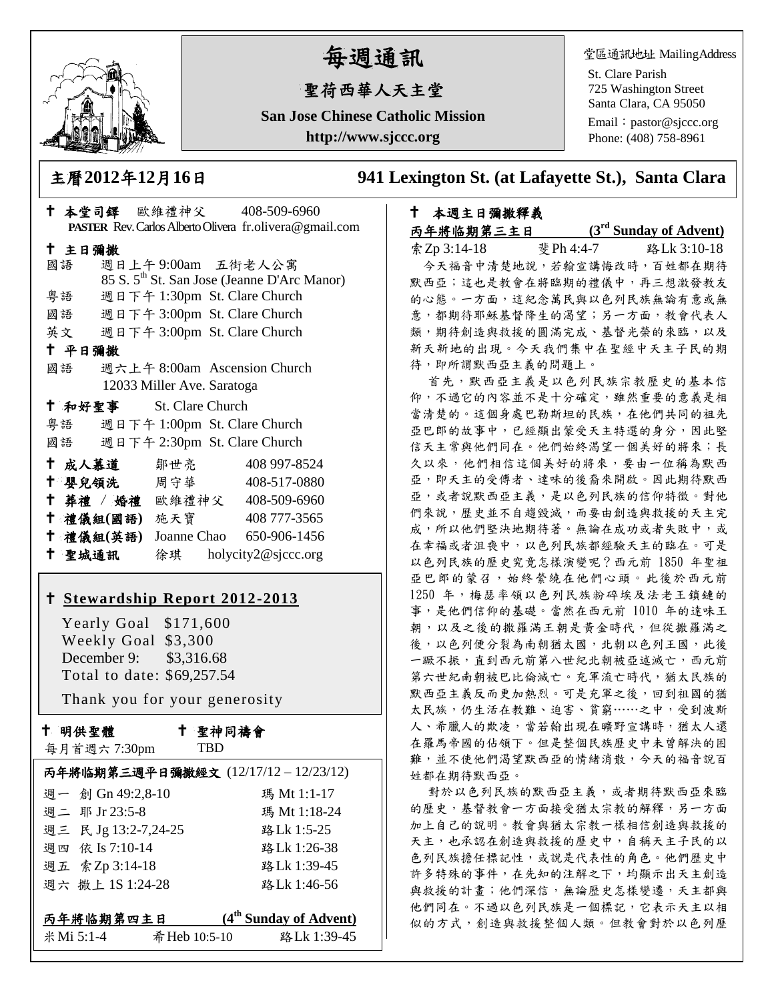

# 每週通訊

## 聖荷西華人天主堂

**San Jose Chinese Catholic Mission http://www.sjccc.org**

堂區通訊地址 MailingAddress

St. Clare Parish 725 Washington Street Santa Clara, CA 95050

Email: [pastor@sjccc.org](mailto:pastor@sjccc.org) Phone: (408) 758-8961

主曆**2012**年**12**月**16**日 **941 Lexington St. (at Lafayette St.), Santa Clara** 

| † 本堂司鐸 歐維禮神父 408-509-6960          |                              |                                                         |  |  |
|------------------------------------|------------------------------|---------------------------------------------------------|--|--|
|                                    |                              | PASTER Rev. Carlos Alberto Olivera fr.olivera@gmail.com |  |  |
| 十 主日彌撒                             |                              |                                                         |  |  |
| 國語                                 | 週日上午9:00am 五街老人公寓            |                                                         |  |  |
|                                    |                              | 85 S. 5 <sup>th</sup> St. San Jose (Jeanne D'Arc Manor) |  |  |
| 粤語                                 | 週日下午 1:30pm St. Clare Church |                                                         |  |  |
| 國語 週日下午 3:00pm St. Clare Church    |                              |                                                         |  |  |
| 英文 週日下午 3:00pm St. Clare Church    |                              |                                                         |  |  |
| 十 平日彌撒                             |                              |                                                         |  |  |
| 國語                                 | 週六上午 8:00am Ascension Church |                                                         |  |  |
| 12033 Miller Ave. Saratoga         |                              |                                                         |  |  |
| † 和好聖事 St. Clare Church            |                              |                                                         |  |  |
| 粤語 週日下午 1:00pm St. Clare Church    |                              |                                                         |  |  |
| 週日下午 2:30pm St. Clare Church<br>國語 |                              |                                                         |  |  |
| † 成人慕道   鄒世亮                       |                              | 408 997-8524                                            |  |  |
| ↑ 嬰兒領洗 周守華 408-517-0880            |                              |                                                         |  |  |
| † 葬禮 / 婚禮 歐維禮神父 408-509-6960       |                              |                                                         |  |  |
| † 禮儀組(國語) 施天寶 408777-3565          |                              |                                                         |  |  |
| † 禮儀組(英語) Joanne Chao 650−906−1456 |                              |                                                         |  |  |
| † 聖城通訊   徐琪   holycity2@sjccc.org  |                              |                                                         |  |  |
|                                    |                              |                                                         |  |  |

#### **[Stewardship Report 2012-2013](http://sjccc.org/index.php/finance.html?src=bulletin112512)**

 Yearly Goal \$171,600 Weekly Goal \$3,300 December 9: \$3,316.68 Total to date: \$69,257.54

Thank you for your generosity

十 明供聖體

每月首週六 7:30pm

 聖神同禱會 TBD

| 丙年將临期第三週平日彌撒經文 (12/17/12-12/23/12) |               |                                    |  |
|------------------------------------|---------------|------------------------------------|--|
| 週一 創 Gn 49:2,8-10                  |               | 瑪 Mt 1:1-17                        |  |
| 週二 耶 Jr 23:5-8                     |               | 瑪 Mt 1:18-24                       |  |
| 週三 民 Jg 13:2-7,24-25               |               | 路Lk 1:5-25                         |  |
| 週四 依 Is 7:10-14                    |               | 路Lk 1:26-38                        |  |
| 週五 索Zp 3:14-18                     |               | 路Lk 1:39-45                        |  |
| 週六 撒上 1S 1:24-28                   |               | 路Lk 1:46-56                        |  |
|                                    |               |                                    |  |
| 丙年將临期第四主日                          |               | (4 <sup>th</sup> Sunday of Advent) |  |
| 米 Mi 5:1-4                         | 希 Heb 10:5-10 | 路Lk 1:39-45                        |  |

 本週主日彌撒釋義 丙年將临期第三主日 **(3 rd Sunday of Advent)** 索Zp 3:14-18 斐Ph 4:4-7 路Lk 3:10-18 今天福音中清楚地說,若翰宣講悔改時,百姓都在期待 默西亞;這也是教會在將臨期的禮儀中,再三想激發教友 的心態。一方面,這紀念萬民與以色列民族無論有意或無 意,都期待耶穌基督降生的渴望;另一方面,教會代表人 類,期待創造與救援的圓滿完成、基督光榮的來臨,以及 新天新地的出現。今天我們集中在聖經中天主子民的期 待,即所謂默西亞主義的問題上。

首先,默西亞主義是以色列民族宗教歷史的基本信 仰,不過它的內容並不是十分確定,雖然重要的意義是相 當清楚的。這個身處巴勒斯坦的民族,在他們共同的祖先 亞巴郎的故事中,已經顯出蒙受天主特選的身分,因此堅 信天主常與他們同在。他們始終渴望一個美好的將來;長 久以來,他們相信這個美好的將來,要由一位稱為默西 亞,即天主的受傅者、達味的後裔來開啟。因此期待默西 亞,或者說默西亞主義,是以色列民族的信仰特徵。對他 們來說,歷史並不自趨毀滅,而要由創造與救援的天主完 成,所以他們堅決地期待著。無論在成功或者失敗中,或 在幸福或者沮喪中,以色列民族都經驗天主的臨在。可是 以色列民族的歷史究竟怎樣演變呢?西元前 1850 年聖祖 亞巴郎的蒙召,始終縈繞在他們心頭。此後於西元前 1250 年,梅瑟率領以色列民族粉碎埃及法老王鎖鏈的 事,是他們信仰的基礎。當然在西元前 1010 年的達味王 朝,以及之後的撒羅滿王朝是黃金時代,但從撒羅滿之 後,以色列便分裂為南朝猶太國,北朝以色列王國,此後 一蹶不振,直到西元前第八世紀北朝被亞述滅亡,西元前 第六世紀南朝被巴比倫滅亡。充軍流亡時代,猶太民族的 默西亞主義反而更加熱烈。可是充軍之後,回到祖國的猶 太民族,仍生活在教難、迫害、貧窮……之中,受到波斯 人、希臘人的欺凌,當若翰出現在曠野宣講時,猶太人還 在羅馬帝國的佔領下。但是整個民族歷史中未曾解決的困 難,並不使他們渴望默西亞的情緒消散,今天的福音說百 姓都在期待默西亞。

對於以色列民族的默西亞主義,或者期待默西亞來臨 的歷史,基督教會一方面接受猶太宗教的解釋,另一方面 加上自己的說明。教會與猶太宗教一樣相信創造與救援的 天主,也承認在創造與救援的歷史中,自稱天主子民的以 色列民族擔任標記性,或說是代表性的角色。他們歷史中 許多特殊的事件,在先知的注解之下,均顯示出天主創造 與救援的計畫;他們深信,無論歷史怎樣變遷,天主都與 他們同在。不過以色列民族是一個標記,它表示天主以相 似的方式,創造與救援整個人類。但教會對於以色列歷